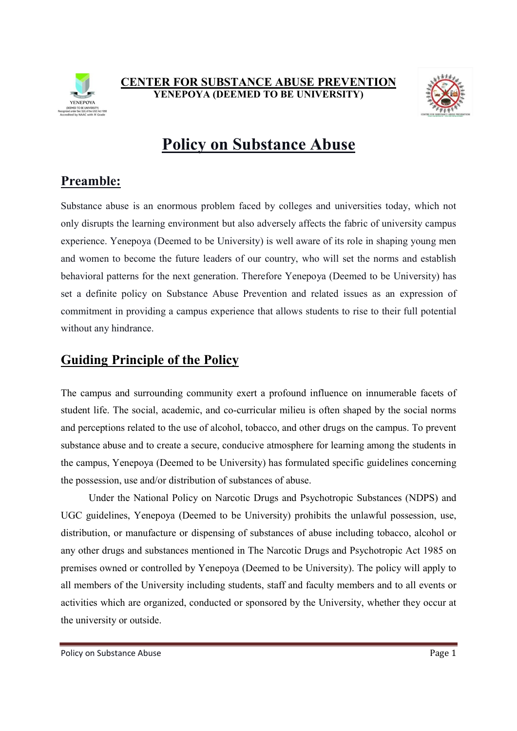



# Policy on Substance Abuse

# Preamble:

Substance abuse is an enormous problem faced by colleges and universities today, which not only disrupts the learning environment but also adversely affects the fabric of university campus experience. Yenepoya (Deemed to be University) is well aware of its role in shaping young men and women to become the future leaders of our country, who will set the norms and establish behavioral patterns for the next generation. Therefore Yenepoya (Deemed to be University) has set a definite policy on Substance Abuse Prevention and related issues as an expression of commitment in providing a campus experience that allows students to rise to their full potential without any hindrance.

# Guiding Principle of the Policy

The campus and surrounding community exert a profound influence on innumerable facets of student life. The social, academic, and co-curricular milieu is often shaped by the social norms and perceptions related to the use of alcohol, tobacco, and other drugs on the campus. To prevent substance abuse and to create a secure, conducive atmosphere for learning among the students in the campus, Yenepoya (Deemed to be University) has formulated specific guidelines concerning the possession, use and/or distribution of substances of abuse.

 Under the National Policy on Narcotic Drugs and Psychotropic Substances (NDPS) and UGC guidelines, Yenepoya (Deemed to be University) prohibits the unlawful possession, use, distribution, or manufacture or dispensing of substances of abuse including tobacco, alcohol or any other drugs and substances mentioned in The Narcotic Drugs and Psychotropic Act 1985 on premises owned or controlled by Yenepoya (Deemed to be University). The policy will apply to all members of the University including students, staff and faculty members and to all events or activities which are organized, conducted or sponsored by the University, whether they occur at the university or outside.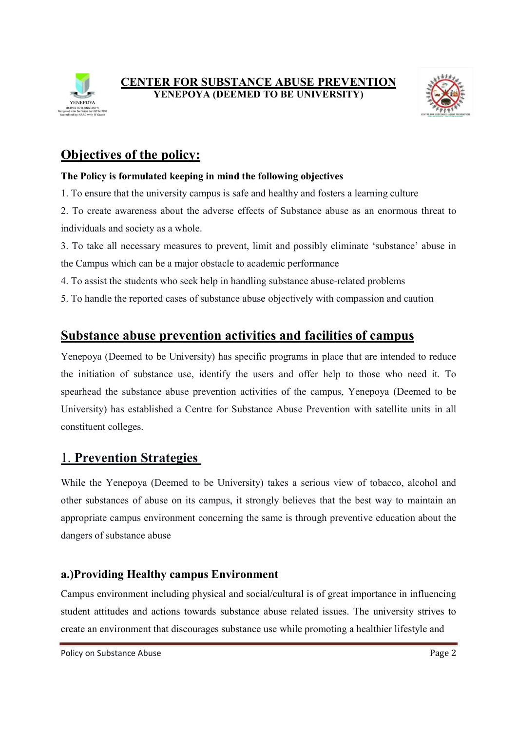



# Objectives of the policy:

#### The Policy is formulated keeping in mind the following objectives

- 1. To ensure that the university campus is safe and healthy and fosters a learning culture
- 2. To create awareness about the adverse effects of Substance abuse as an enormous threat to individuals and society as a whole.
- 3. To take all necessary measures to prevent, limit and possibly eliminate 'substance' abuse in the Campus which can be a major obstacle to academic performance
- 4. To assist the students who seek help in handling substance abuse-related problems
- 5. To handle the reported cases of substance abuse objectively with compassion and caution

### Substance abuse prevention activities and facilities of campus

Yenepoya (Deemed to be University) has specific programs in place that are intended to reduce the initiation of substance use, identify the users and offer help to those who need it. To spearhead the substance abuse prevention activities of the campus, Yenepoya (Deemed to be University) has established a Centre for Substance Abuse Prevention with satellite units in all constituent colleges.

### 1. Prevention Strategies

While the Yenepoya (Deemed to be University) takes a serious view of tobacco, alcohol and other substances of abuse on its campus, it strongly believes that the best way to maintain an appropriate campus environment concerning the same is through preventive education about the dangers of substance abuse

### a.)Providing Healthy campus Environment

Campus environment including physical and social/cultural is of great importance in influencing student attitudes and actions towards substance abuse related issues. The university strives to create an environment that discourages substance use while promoting a healthier lifestyle and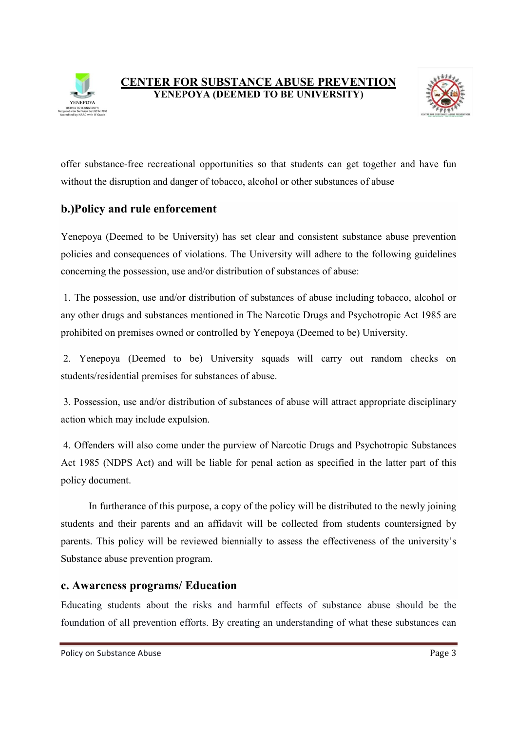



offer substance-free recreational opportunities so that students can get together and have fun without the disruption and danger of tobacco, alcohol or other substances of abuse

### b.)Policy and rule enforcement

Yenepoya (Deemed to be University) has set clear and consistent substance abuse prevention policies and consequences of violations. The University will adhere to the following guidelines concerning the possession, use and/or distribution of substances of abuse:

 1. The possession, use and/or distribution of substances of abuse including tobacco, alcohol or any other drugs and substances mentioned in The Narcotic Drugs and Psychotropic Act 1985 are prohibited on premises owned or controlled by Yenepoya (Deemed to be) University.

 2. Yenepoya (Deemed to be) University squads will carry out random checks on students/residential premises for substances of abuse.

 3. Possession, use and/or distribution of substances of abuse will attract appropriate disciplinary action which may include expulsion.

 4. Offenders will also come under the purview of Narcotic Drugs and Psychotropic Substances Act 1985 (NDPS Act) and will be liable for penal action as specified in the latter part of this policy document.

 In furtherance of this purpose, a copy of the policy will be distributed to the newly joining students and their parents and an affidavit will be collected from students countersigned by parents. This policy will be reviewed biennially to assess the effectiveness of the university's Substance abuse prevention program.

#### c. Awareness programs/ Education

Educating students about the risks and harmful effects of substance abuse should be the foundation of all prevention efforts. By creating an understanding of what these substances can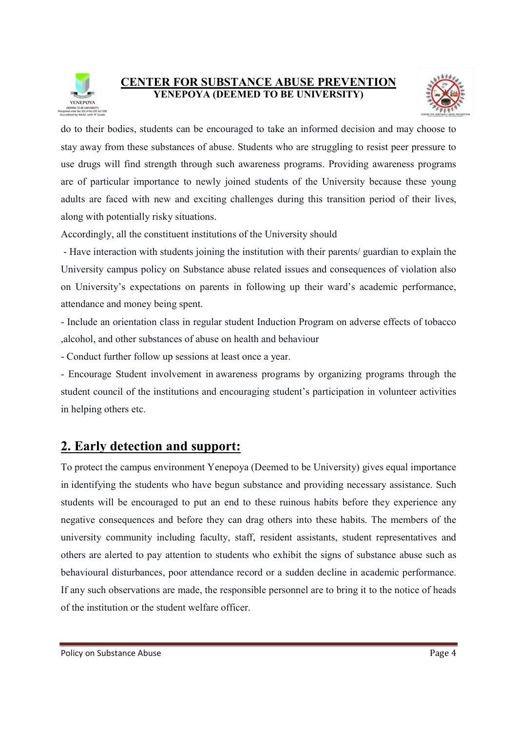



do to their bodies, students can be encouraged to take an informed decision and may choose to stay away from these substances of abuse. Students who are struggling to resist peer pressure to use drugs will find strength through such awareness programs. Providing awareness programs are of particular importance to newly joined students of the University because these young adults are faced with new and exciting challenges during this transition period of their lives, along with potentially risky situations.

Accordingly, all the constituent institutions of the University should

 - Have interaction with students joining the institution with their parents/ guardian to explain the University campus policy on Substance abuse related issues and consequences of violation also on University's expectations on parents in following up their ward's academic performance, attendance and money being spent.

- Include an orientation class in regular student Induction Program on adverse effects of tobacco ,alcohol, and other substances of abuse on health and behaviour

- Conduct further follow up sessions at least once a year.

- Encourage Student involvement in awareness programs by organizing programs through the student council of the institutions and encouraging student's participation in volunteer activities in helping others etc.

# 2. Early detection and support:

To protect the campus environment Yenepoya (Deemed to be University) gives equal importance in identifying the students who have begun substance and providing necessary assistance. Such students will be encouraged to put an end to these ruinous habits before they experience any negative consequences and before they can drag others into these habits. The members of the university community including faculty, staff, resident assistants, student representatives and others are alerted to pay attention to students who exhibit the signs of substance abuse such as behavioural disturbances, poor attendance record or a sudden decline in academic performance. If any such observations are made, the responsible personnel are to bring it to the notice of heads of the institution or the student welfare officer.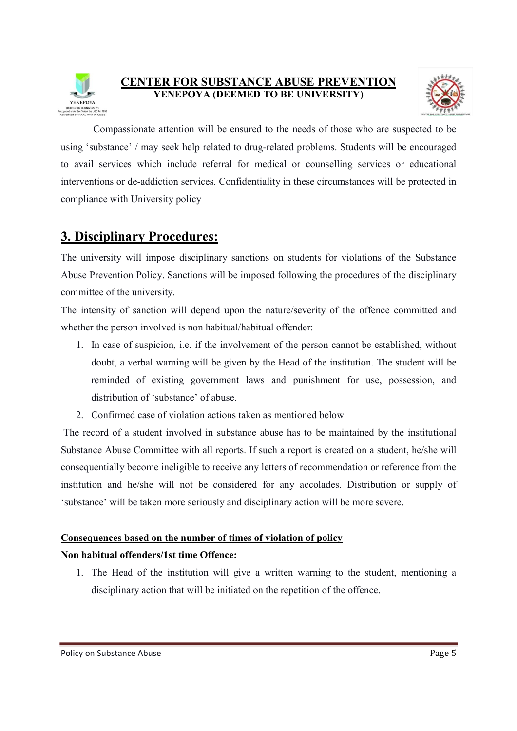



 Compassionate attention will be ensured to the needs of those who are suspected to be using 'substance' / may seek help related to drug-related problems. Students will be encouraged to avail services which include referral for medical or counselling services or educational interventions or de-addiction services. Confidentiality in these circumstances will be protected in compliance with University policy

## 3. Disciplinary Procedures:

The university will impose disciplinary sanctions on students for violations of the Substance Abuse Prevention Policy. Sanctions will be imposed following the procedures of the disciplinary committee of the university.

The intensity of sanction will depend upon the nature/severity of the offence committed and whether the person involved is non habitual/habitual offender:

- 1. In case of suspicion, i.e. if the involvement of the person cannot be established, without doubt, a verbal warning will be given by the Head of the institution. The student will be reminded of existing government laws and punishment for use, possession, and distribution of 'substance' of abuse.
- 2. Confirmed case of violation actions taken as mentioned below

 The record of a student involved in substance abuse has to be maintained by the institutional Substance Abuse Committee with all reports. If such a report is created on a student, he/she will consequentially become ineligible to receive any letters of recommendation or reference from the institution and he/she will not be considered for any accolades. Distribution or supply of 'substance' will be taken more seriously and disciplinary action will be more severe.

#### Consequences based on the number of times of violation of policy

#### Non habitual offenders/1st time Offence:

1. The Head of the institution will give a written warning to the student, mentioning a disciplinary action that will be initiated on the repetition of the offence.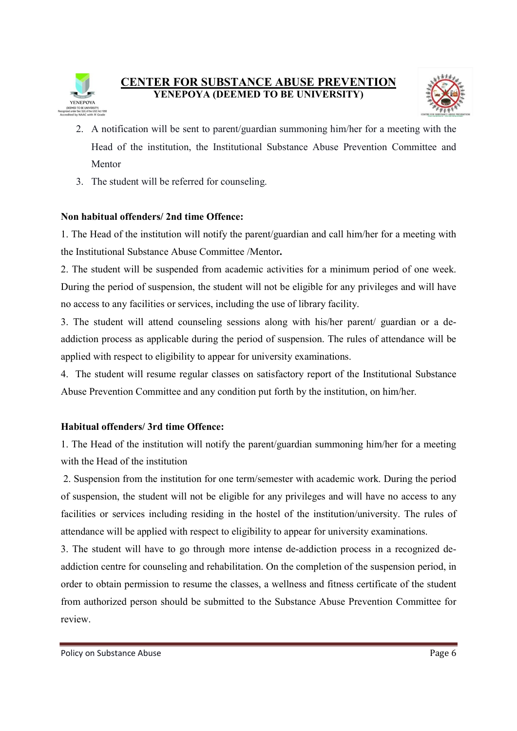



- 2. A notification will be sent to parent/guardian summoning him/her for a meeting with the Head of the institution, the Institutional Substance Abuse Prevention Committee and Mentor
- 3. The student will be referred for counseling.

#### Non habitual offenders/ 2nd time Offence:

1. The Head of the institution will notify the parent/guardian and call him/her for a meeting with the Institutional Substance Abuse Committee /Mentor.

2. The student will be suspended from academic activities for a minimum period of one week. During the period of suspension, the student will not be eligible for any privileges and will have no access to any facilities or services, including the use of library facility.

3. The student will attend counseling sessions along with his/her parent/ guardian or a deaddiction process as applicable during the period of suspension. The rules of attendance will be applied with respect to eligibility to appear for university examinations.

4. The student will resume regular classes on satisfactory report of the Institutional Substance Abuse Prevention Committee and any condition put forth by the institution, on him/her.

#### Habitual offenders/ 3rd time Offence:

1. The Head of the institution will notify the parent/guardian summoning him/her for a meeting with the Head of the institution

 2. Suspension from the institution for one term/semester with academic work. During the period of suspension, the student will not be eligible for any privileges and will have no access to any facilities or services including residing in the hostel of the institution/university. The rules of attendance will be applied with respect to eligibility to appear for university examinations.

3. The student will have to go through more intense de-addiction process in a recognized deaddiction centre for counseling and rehabilitation. On the completion of the suspension period, in order to obtain permission to resume the classes, a wellness and fitness certificate of the student from authorized person should be submitted to the Substance Abuse Prevention Committee for review.